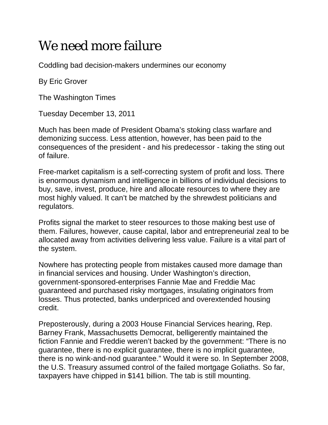## We need more failure

Coddling bad decision-makers undermines our economy

By Eric Grover

The Washington Times

Tuesday December 13, 2011

Much has been made of President Obama's stoking class warfare and demonizing success. Less attention, however, has been paid to the consequences of the president - and his predecessor - taking the sting out of failure.

Free-market capitalism is a self-correcting system of profit and loss. There is enormous dynamism and intelligence in billions of individual decisions to buy, save, invest, produce, hire and allocate resources to where they are most highly valued. It can't be matched by the shrewdest politicians and regulators.

Profits signal the market to steer resources to those making best use of them. Failures, however, cause capital, labor and entrepreneurial zeal to be allocated away from activities delivering less value. Failure is a vital part of the system.

Nowhere has protecting people from mistakes caused more damage than in financial services and housing. Under Washington's direction, government-sponsored-enterprises Fannie Mae and Freddie Mac guaranteed and purchased risky mortgages, insulating originators from losses. Thus protected, banks underpriced and overextended housing credit.

Preposterously, during a 2003 House Financial Services hearing, Rep. Barney Frank, Massachusetts Democrat, belligerently maintained the fiction Fannie and Freddie weren't backed by the government: "There is no guarantee, there is no explicit guarantee, there is no implicit guarantee, there is no wink-and-nod guarantee." Would it were so. In September 2008, the U.S. Treasury assumed control of the failed mortgage Goliaths. So far, taxpayers have chipped in \$141 billion. The tab is still mounting.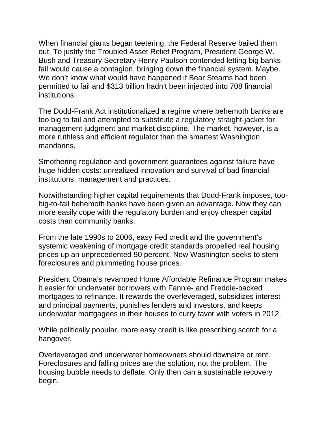When financial giants began teetering, the Federal Reserve bailed them out. To justify the Troubled Asset Relief Program, President George W. Bush and Treasury Secretary Henry Paulson contended letting big banks fail would cause a contagion, bringing down the financial system. Maybe. We don't know what would have happened if Bear Stearns had been permitted to fail and \$313 billion hadn't been injected into 708 financial institutions.

The Dodd-Frank Act institutionalized a regime where behemoth banks are too big to fail and attempted to substitute a regulatory straight-jacket for management judgment and market discipline. The market, however, is a more ruthless and efficient regulator than the smartest Washington mandarins.

Smothering regulation and government guarantees against failure have huge hidden costs: unrealized innovation and survival of bad financial institutions, management and practices.

Notwithstanding higher capital requirements that Dodd-Frank imposes, toobig-to-fail behemoth banks have been given an advantage. Now they can more easily cope with the regulatory burden and enjoy cheaper capital costs than community banks.

From the late 1990s to 2006, easy Fed credit and the government's systemic weakening of mortgage credit standards propelled real housing prices up an unprecedented 90 percent. Now Washington seeks to stem foreclosures and plummeting house prices.

President Obama's revamped Home Affordable Refinance Program makes it easier for underwater borrowers with Fannie- and Freddie-backed mortgages to refinance. It rewards the overleveraged, subsidizes interest and principal payments, punishes lenders and investors, and keeps underwater mortgagees in their houses to curry favor with voters in 2012.

While politically popular, more easy credit is like prescribing scotch for a hangover.

Overleveraged and underwater homeowners should downsize or rent. Foreclosures and falling prices are the solution, not the problem. The housing bubble needs to deflate. Only then can a sustainable recovery begin.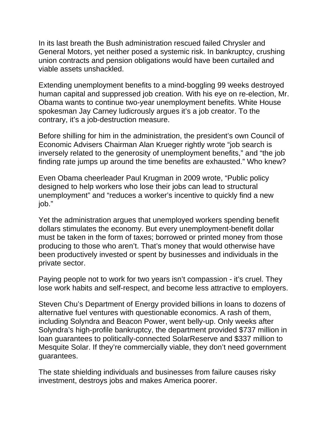In its last breath the Bush administration rescued failed Chrysler and General Motors, yet neither posed a systemic risk. In bankruptcy, crushing union contracts and pension obligations would have been curtailed and viable assets unshackled.

Extending unemployment benefits to a mind-boggling 99 weeks destroyed human capital and suppressed job creation. With his eye on re-election, Mr. Obama wants to continue two-year unemployment benefits. White House spokesman Jay Carney ludicrously argues it's a job creator. To the contrary, it's a job-destruction measure.

Before shilling for him in the administration, the president's own Council of Economic Advisers Chairman Alan Krueger rightly wrote "job search is inversely related to the generosity of unemployment benefits," and "the job finding rate jumps up around the time benefits are exhausted." Who knew?

Even Obama cheerleader Paul Krugman in 2009 wrote, "Public policy designed to help workers who lose their jobs can lead to structural unemployment" and "reduces a worker's incentive to quickly find a new job."

Yet the administration argues that unemployed workers spending benefit dollars stimulates the economy. But every unemployment-benefit dollar must be taken in the form of taxes; borrowed or printed money from those producing to those who aren't. That's money that would otherwise have been productively invested or spent by businesses and individuals in the private sector.

Paying people not to work for two years isn't compassion - it's cruel. They lose work habits and self-respect, and become less attractive to employers.

Steven Chu's Department of Energy provided billions in loans to dozens of alternative fuel ventures with questionable economics. A rash of them, including Solyndra and Beacon Power, went belly-up. Only weeks after Solyndra's high-profile bankruptcy, the department provided \$737 million in loan guarantees to politically-connected SolarReserve and \$337 million to Mesquite Solar. If they're commercially viable, they don't need government guarantees.

The state shielding individuals and businesses from failure causes risky investment, destroys jobs and makes America poorer.